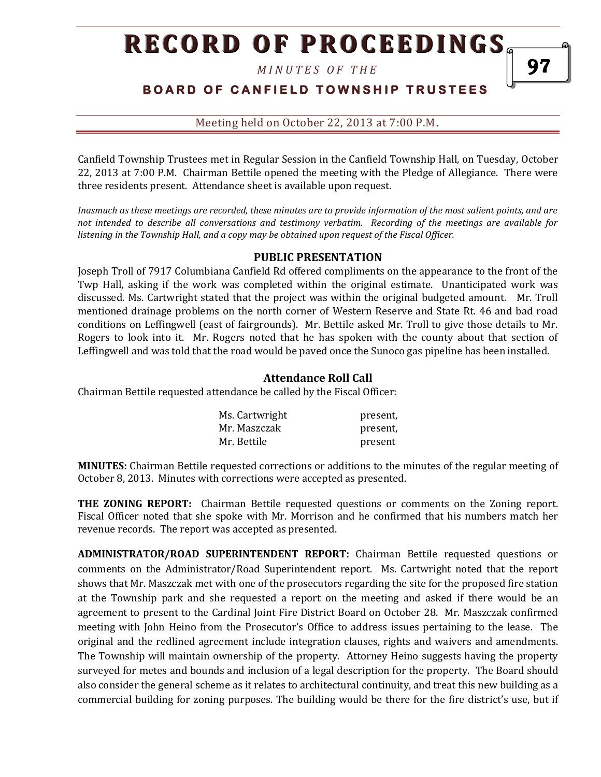*M I N U T E S O F T H E* 

# **BOARD OF CANFIELD TOWNSHIP TRUSTEES**

Meeting held on October 22, 2013 at 7:00 P.M**.**

Canfield Township Trustees met in Regular Session in the Canfield Township Hall, on Tuesday, October 22, 2013 at 7:00 P.M. Chairman Bettile opened the meeting with the Pledge of Allegiance. There were three residents present. Attendance sheet is available upon request.

*Inasmuch as these meetings are recorded, these minutes are to provide information of the most salient points, and are not intended to describe all conversations and testimony verbatim. Recording of the meetings are available for listening in the Township Hall, and a copy may be obtained upon request of the Fiscal Officer.* 

#### **PUBLIC PRESENTATION**

Joseph Troll of 7917 Columbiana Canfield Rd offered compliments on the appearance to the front of the Twp Hall, asking if the work was completed within the original estimate. Unanticipated work was discussed. Ms. Cartwright stated that the project was within the original budgeted amount. Mr. Troll mentioned drainage problems on the north corner of Western Reserve and State Rt. 46 and bad road conditions on Leffingwell (east of fairgrounds). Mr. Bettile asked Mr. Troll to give those details to Mr. Rogers to look into it. Mr. Rogers noted that he has spoken with the county about that section of Leffingwell and was told that the road would be paved once the Sunoco gas pipeline has been installed.

### **Attendance Roll Call**

Chairman Bettile requested attendance be called by the Fiscal Officer:

| Ms. Cartwright | present, |
|----------------|----------|
| Mr. Maszczak   | present. |
| Mr. Bettile    | present  |

**MINUTES:** Chairman Bettile requested corrections or additions to the minutes of the regular meeting of October 8, 2013. Minutes with corrections were accepted as presented.

**THE ZONING REPORT:** Chairman Bettile requested questions or comments on the Zoning report. Fiscal Officer noted that she spoke with Mr. Morrison and he confirmed that his numbers match her revenue records. The report was accepted as presented.

**ADMINISTRATOR/ROAD SUPERINTENDENT REPORT:** Chairman Bettile requested questions or comments on the Administrator/Road Superintendent report. Ms. Cartwright noted that the report shows that Mr. Maszczak met with one of the prosecutors regarding the site for the proposed fire station at the Township park and she requested a report on the meeting and asked if there would be an agreement to present to the Cardinal Joint Fire District Board on October 28. Mr. Maszczak confirmed meeting with John Heino from the Prosecutor's Office to address issues pertaining to the lease. The original and the redlined agreement include integration clauses, rights and waivers and amendments. The Township will maintain ownership of the property. Attorney Heino suggests having the property surveyed for metes and bounds and inclusion of a legal description for the property. The Board should also consider the general scheme as it relates to architectural continuity, and treat this new building as a commercial building for zoning purposes. The building would be there for the fire district's use, but if

97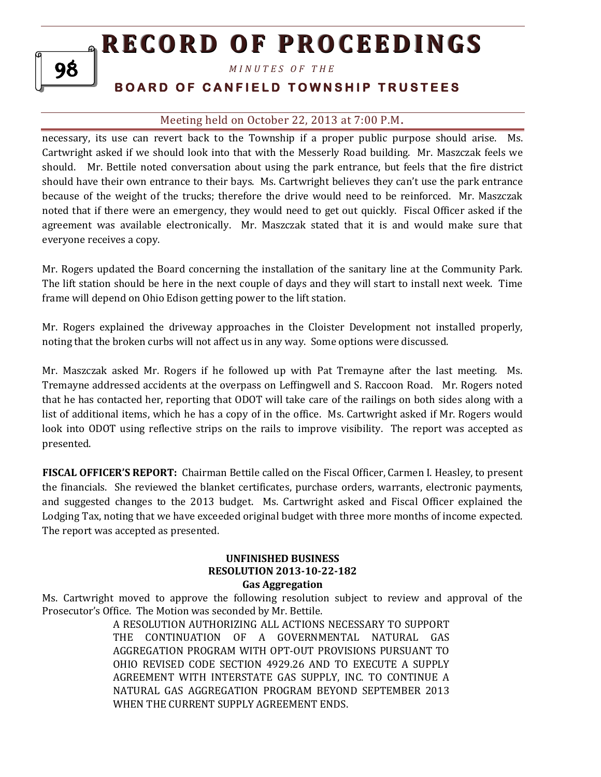*M I N U T E S O F T H E* 

# **BOARD OF CANFIELD TOWNSHIP TRUSTEES**

## Meeting held on October 22, 2013 at 7:00 P.M**.**

necessary, its use can revert back to the Township if a proper public purpose should arise. Ms. Cartwright asked if we should look into that with the Messerly Road building. Mr. Maszczak feels we should. Mr. Bettile noted conversation about using the park entrance, but feels that the fire district should have their own entrance to their bays. Ms. Cartwright believes they can't use the park entrance because of the weight of the trucks; therefore the drive would need to be reinforced. Mr. Maszczak noted that if there were an emergency, they would need to get out quickly. Fiscal Officer asked if the agreement was available electronically. Mr. Maszczak stated that it is and would make sure that everyone receives a copy.

Mr. Rogers updated the Board concerning the installation of the sanitary line at the Community Park. The lift station should be here in the next couple of days and they will start to install next week. Time frame will depend on Ohio Edison getting power to the lift station.

Mr. Rogers explained the driveway approaches in the Cloister Development not installed properly, noting that the broken curbs will not affect us in any way. Some options were discussed.

Mr. Maszczak asked Mr. Rogers if he followed up with Pat Tremayne after the last meeting. Ms. Tremayne addressed accidents at the overpass on Leffingwell and S. Raccoon Road. Mr. Rogers noted that he has contacted her, reporting that ODOT will take care of the railings on both sides along with a list of additional items, which he has a copy of in the office. Ms. Cartwright asked if Mr. Rogers would look into ODOT using reflective strips on the rails to improve visibility. The report was accepted as presented.

**FISCAL OFFICER'S REPORT:** Chairman Bettile called on the Fiscal Officer, Carmen I. Heasley, to present the financials. She reviewed the blanket certificates, purchase orders, warrants, electronic payments, and suggested changes to the 2013 budget. Ms. Cartwright asked and Fiscal Officer explained the Lodging Tax, noting that we have exceeded original budget with three more months of income expected. The report was accepted as presented.

## **UNFINISHED BUSINESS RESOLUTION 2013-10-22-182 Gas Aggregation**

Ms. Cartwright moved to approve the following resolution subject to review and approval of the Prosecutor's Office. The Motion was seconded by Mr. Bettile.

> A RESOLUTION AUTHORIZING ALL ACTIONS NECESSARY TO SUPPORT THE CONTINUATION OF A GOVERNMENTAL NATURAL GAS AGGREGATION PROGRAM WITH OPT-OUT PROVISIONS PURSUANT TO OHIO REVISED CODE SECTION 4929.26 AND TO EXECUTE A SUPPLY AGREEMENT WITH INTERSTATE GAS SUPPLY, INC. TO CONTINUE A NATURAL GAS AGGREGATION PROGRAM BEYOND SEPTEMBER 2013 WHEN THE CURRENT SUPPLY AGREEMENT ENDS.

98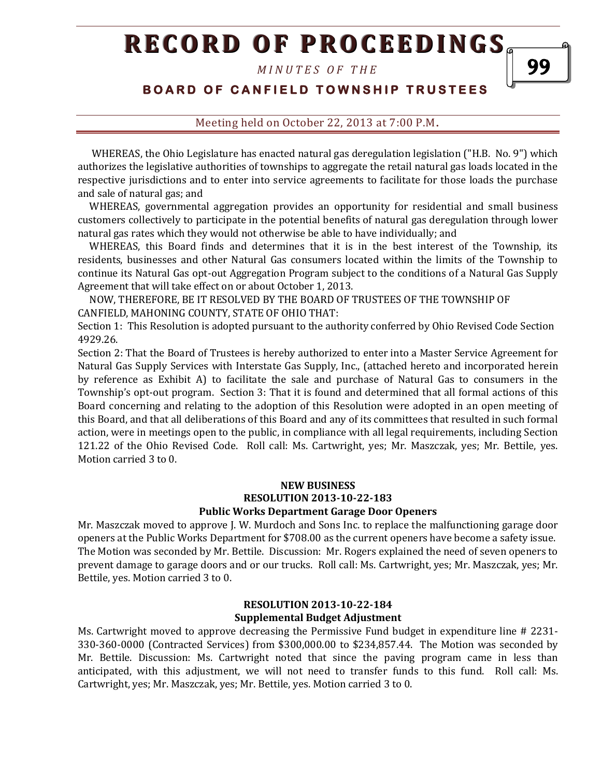*M I N U T E S O F T H E* 

# **BOARD OF CANFIELD TOWNSHIP TRUSTEES**

### Meeting held on October 22, 2013 at 7:00 P.M**.**

 WHEREAS, the Ohio Legislature has enacted natural gas deregulation legislation ("H.B. No. 9") which authorizes the legislative authorities of townships to aggregate the retail natural gas loads located in the respective jurisdictions and to enter into service agreements to facilitate for those loads the purchase and sale of natural gas; and

 WHEREAS, governmental aggregation provides an opportunity for residential and small business customers collectively to participate in the potential benefits of natural gas deregulation through lower natural gas rates which they would not otherwise be able to have individually; and

 WHEREAS, this Board finds and determines that it is in the best interest of the Township, its residents, businesses and other Natural Gas consumers located within the limits of the Township to continue its Natural Gas opt-out Aggregation Program subject to the conditions of a Natural Gas Supply Agreement that will take effect on or about October 1, 2013.

 NOW, THEREFORE, BE IT RESOLVED BY THE BOARD OF TRUSTEES OF THE TOWNSHIP OF CANFIELD, MAHONING COUNTY, STATE OF OHIO THAT:

Section 1: This Resolution is adopted pursuant to the authority conferred by Ohio Revised Code Section 4929.26.

Section 2: That the Board of Trustees is hereby authorized to enter into a Master Service Agreement for Natural Gas Supply Services with Interstate Gas Supply, Inc., (attached hereto and incorporated herein by reference as Exhibit A) to facilitate the sale and purchase of Natural Gas to consumers in the Township's opt-out program. Section 3: That it is found and determined that all formal actions of this Board concerning and relating to the adoption of this Resolution were adopted in an open meeting of this Board, and that all deliberations of this Board and any of its committees that resulted in such formal action, were in meetings open to the public, in compliance with all legal requirements, including Section 121.22 of the Ohio Revised Code. Roll call: Ms. Cartwright, yes; Mr. Maszczak, yes; Mr. Bettile, yes. Motion carried 3 to 0.

#### **NEW BUSINESS RESOLUTION 2013-10-22-183 Public Works Department Garage Door Openers**

Mr. Maszczak moved to approve J. W. Murdoch and Sons Inc. to replace the malfunctioning garage door openers at the Public Works Department for \$708.00 as the current openers have become a safety issue. The Motion was seconded by Mr. Bettile. Discussion: Mr. Rogers explained the need of seven openers to prevent damage to garage doors and or our trucks. Roll call: Ms. Cartwright, yes; Mr. Maszczak, yes; Mr. Bettile, yes. Motion carried 3 to 0.

#### **RESOLUTION 2013-10-22-184 Supplemental Budget Adjustment**

Ms. Cartwright moved to approve decreasing the Permissive Fund budget in expenditure line # 2231- 330-360-0000 (Contracted Services) from \$300,000.00 to \$234,857.44. The Motion was seconded by Mr. Bettile. Discussion: Ms. Cartwright noted that since the paving program came in less than anticipated, with this adjustment, we will not need to transfer funds to this fund. Roll call: Ms. Cartwright, yes; Mr. Maszczak, yes; Mr. Bettile, yes. Motion carried 3 to 0.

99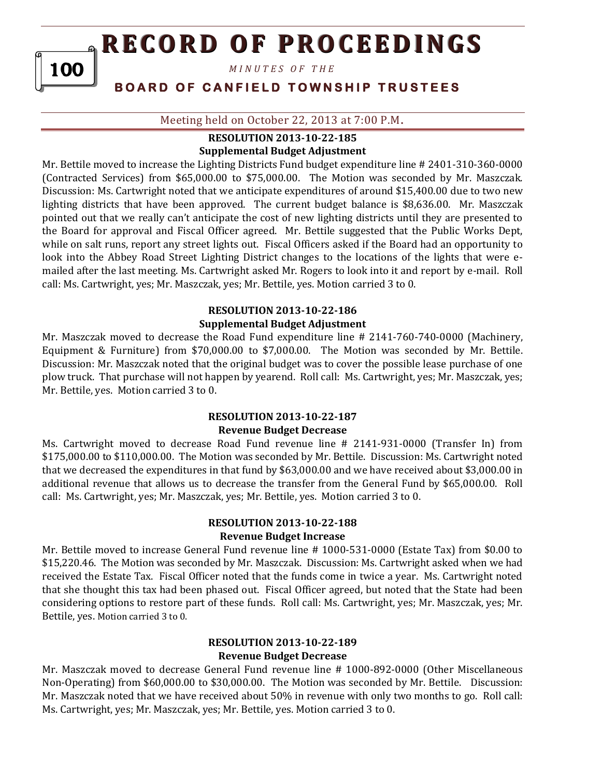*M I N U T E S O F T H E* 

100

# **BOARD OF CANFIELD TOWNSHIP TRUSTEES**

Meeting held on October 22, 2013 at 7:00 P.M**.**

### **RESOLUTION 2013-10-22-185 Supplemental Budget Adjustment**

Mr. Bettile moved to increase the Lighting Districts Fund budget expenditure line # 2401-310-360-0000 (Contracted Services) from \$65,000.00 to \$75,000.00. The Motion was seconded by Mr. Maszczak. Discussion: Ms. Cartwright noted that we anticipate expenditures of around \$15,400.00 due to two new lighting districts that have been approved. The current budget balance is \$8,636.00. Mr. Maszczak pointed out that we really can't anticipate the cost of new lighting districts until they are presented to the Board for approval and Fiscal Officer agreed. Mr. Bettile suggested that the Public Works Dept, while on salt runs, report any street lights out. Fiscal Officers asked if the Board had an opportunity to look into the Abbey Road Street Lighting District changes to the locations of the lights that were emailed after the last meeting. Ms. Cartwright asked Mr. Rogers to look into it and report by e-mail. Roll call: Ms. Cartwright, yes; Mr. Maszczak, yes; Mr. Bettile, yes. Motion carried 3 to 0.

## **RESOLUTION 2013-10-22-186 Supplemental Budget Adjustment**

Mr. Maszczak moved to decrease the Road Fund expenditure line # 2141-760-740-0000 (Machinery, Equipment & Furniture) from \$70,000.00 to \$7,000.00. The Motion was seconded by Mr. Bettile. Discussion: Mr. Maszczak noted that the original budget was to cover the possible lease purchase of one plow truck. That purchase will not happen by yearend. Roll call: Ms. Cartwright, yes; Mr. Maszczak, yes; Mr. Bettile, yes. Motion carried 3 to 0.

## **RESOLUTION 2013-10-22-187**

#### **Revenue Budget Decrease**

Ms. Cartwright moved to decrease Road Fund revenue line # 2141-931-0000 (Transfer In) from \$175,000.00 to \$110,000.00. The Motion was seconded by Mr. Bettile. Discussion: Ms. Cartwright noted that we decreased the expenditures in that fund by \$63,000.00 and we have received about \$3,000.00 in additional revenue that allows us to decrease the transfer from the General Fund by \$65,000.00. Roll call: Ms. Cartwright, yes; Mr. Maszczak, yes; Mr. Bettile, yes. Motion carried 3 to 0.

## **RESOLUTION 2013-10-22-188 Revenue Budget Increase**

Mr. Bettile moved to increase General Fund revenue line # 1000-531-0000 (Estate Tax) from \$0.00 to \$15,220.46. The Motion was seconded by Mr. Maszczak. Discussion: Ms. Cartwright asked when we had received the Estate Tax. Fiscal Officer noted that the funds come in twice a year. Ms. Cartwright noted that she thought this tax had been phased out. Fiscal Officer agreed, but noted that the State had been considering options to restore part of these funds. Roll call: Ms. Cartwright, yes; Mr. Maszczak, yes; Mr. Bettile, yes. Motion carried 3 to 0.

#### **RESOLUTION 2013-10-22-189 Revenue Budget Decrease**

Mr. Maszczak moved to decrease General Fund revenue line # 1000-892-0000 (Other Miscellaneous Non-Operating) from \$60,000.00 to \$30,000.00. The Motion was seconded by Mr. Bettile. Discussion: Mr. Maszczak noted that we have received about 50% in revenue with only two months to go. Roll call: Ms. Cartwright, yes; Mr. Maszczak, yes; Mr. Bettile, yes. Motion carried 3 to 0.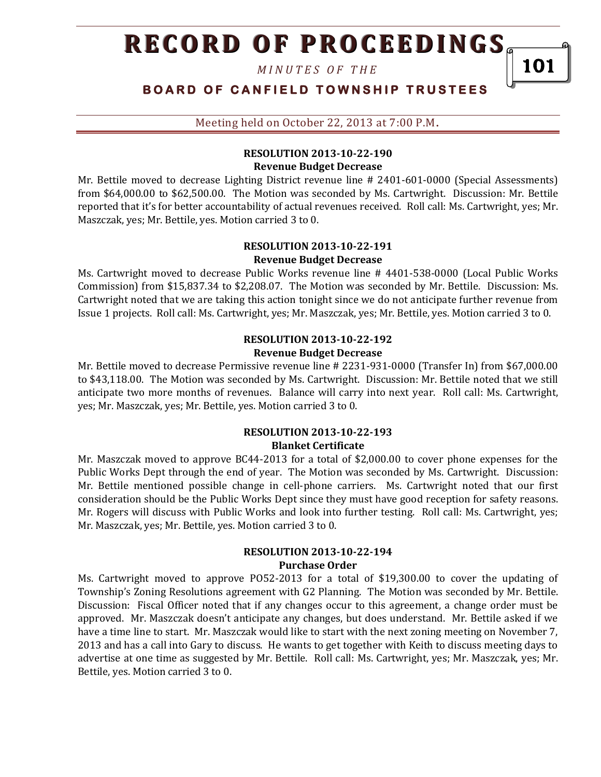*M I N U T E S O F T H E* 

101

**BOARD OF CANFIELD TOWNSHIP TRUSTEES** 

Meeting held on October 22, 2013 at 7:00 P.M**.**

## **RESOLUTION 2013-10-22-190 Revenue Budget Decrease**

Mr. Bettile moved to decrease Lighting District revenue line # 2401-601-0000 (Special Assessments) from \$64,000.00 to \$62,500.00. The Motion was seconded by Ms. Cartwright. Discussion: Mr. Bettile reported that it's for better accountability of actual revenues received. Roll call: Ms. Cartwright, yes; Mr. Maszczak, yes; Mr. Bettile, yes. Motion carried 3 to 0.

#### **RESOLUTION 2013-10-22-191 Revenue Budget Decrease**

Ms. Cartwright moved to decrease Public Works revenue line # 4401-538-0000 (Local Public Works Commission) from \$15,837.34 to \$2,208.07. The Motion was seconded by Mr. Bettile. Discussion: Ms. Cartwright noted that we are taking this action tonight since we do not anticipate further revenue from Issue 1 projects. Roll call: Ms. Cartwright, yes; Mr. Maszczak, yes; Mr. Bettile, yes. Motion carried 3 to 0.

### **RESOLUTION 2013-10-22-192 Revenue Budget Decrease**

Mr. Bettile moved to decrease Permissive revenue line # 2231-931-0000 (Transfer In) from \$67,000.00 to \$43,118.00. The Motion was seconded by Ms. Cartwright. Discussion: Mr. Bettile noted that we still anticipate two more months of revenues. Balance will carry into next year. Roll call: Ms. Cartwright, yes; Mr. Maszczak, yes; Mr. Bettile, yes. Motion carried 3 to 0.

#### **RESOLUTION 2013-10-22-193 Blanket Certificate**

Mr. Maszczak moved to approve BC44-2013 for a total of \$2,000.00 to cover phone expenses for the Public Works Dept through the end of year. The Motion was seconded by Ms. Cartwright. Discussion: Mr. Bettile mentioned possible change in cell-phone carriers. Ms. Cartwright noted that our first consideration should be the Public Works Dept since they must have good reception for safety reasons. Mr. Rogers will discuss with Public Works and look into further testing. Roll call: Ms. Cartwright, yes; Mr. Maszczak, yes; Mr. Bettile, yes. Motion carried 3 to 0.

#### **RESOLUTION 2013-10-22-194 Purchase Order**

Ms. Cartwright moved to approve PO52-2013 for a total of \$19,300.00 to cover the updating of Township's Zoning Resolutions agreement with G2 Planning. The Motion was seconded by Mr. Bettile. Discussion: Fiscal Officer noted that if any changes occur to this agreement, a change order must be approved. Mr. Maszczak doesn't anticipate any changes, but does understand. Mr. Bettile asked if we have a time line to start. Mr. Maszczak would like to start with the next zoning meeting on November 7, 2013 and has a call into Gary to discuss. He wants to get together with Keith to discuss meeting days to advertise at one time as suggested by Mr. Bettile. Roll call: Ms. Cartwright, yes; Mr. Maszczak, yes; Mr. Bettile, yes. Motion carried 3 to 0.